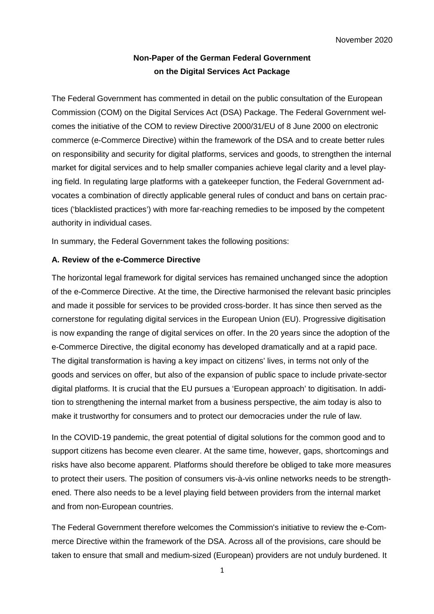# **Non-Paper of the German Federal Government on the Digital Services Act Package**

The Federal Government has commented in detail on the public consultation of the European Commission (COM) on the Digital Services Act (DSA) Package. The Federal Government welcomes the initiative of the COM to review Directive 2000/31/EU of 8 June 2000 on electronic commerce (e-Commerce Directive) within the framework of the DSA and to create better rules on responsibility and security for digital platforms, services and goods, to strengthen the internal market for digital services and to help smaller companies achieve legal clarity and a level playing field. In regulating large platforms with a gatekeeper function, the Federal Government advocates a combination of directly applicable general rules of conduct and bans on certain practices ('blacklisted practices') with more far-reaching remedies to be imposed by the competent authority in individual cases.

In summary, the Federal Government takes the following positions:

# **A. Review of the e-Commerce Directive**

The horizontal legal framework for digital services has remained unchanged since the adoption of the e-Commerce Directive. At the time, the Directive harmonised the relevant basic principles and made it possible for services to be provided cross-border. It has since then served as the cornerstone for regulating digital services in the European Union (EU). Progressive digitisation is now expanding the range of digital services on offer. In the 20 years since the adoption of the e-Commerce Directive, the digital economy has developed dramatically and at a rapid pace. The digital transformation is having a key impact on citizens' lives, in terms not only of the goods and services on offer, but also of the expansion of public space to include private-sector digital platforms. It is crucial that the EU pursues a 'European approach' to digitisation. In addition to strengthening the internal market from a business perspective, the aim today is also to make it trustworthy for consumers and to protect our democracies under the rule of law.

In the COVID-19 pandemic, the great potential of digital solutions for the common good and to support citizens has become even clearer. At the same time, however, gaps, shortcomings and risks have also become apparent. Platforms should therefore be obliged to take more measures to protect their users. The position of consumers vis-à-vis online networks needs to be strengthened. There also needs to be a level playing field between providers from the internal market and from non-European countries.

The Federal Government therefore welcomes the Commission's initiative to review the e-Commerce Directive within the framework of the DSA. Across all of the provisions, care should be taken to ensure that small and medium-sized (European) providers are not unduly burdened. It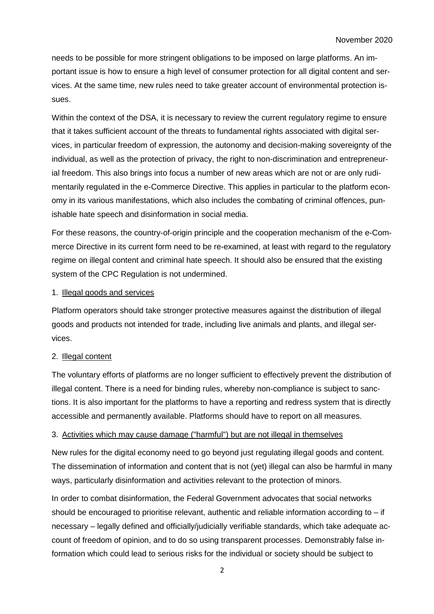needs to be possible for more stringent obligations to be imposed on large platforms. An important issue is how to ensure a high level of consumer protection for all digital content and services. At the same time, new rules need to take greater account of environmental protection issues.

Within the context of the DSA, it is necessary to review the current regulatory regime to ensure that it takes sufficient account of the threats to fundamental rights associated with digital services, in particular freedom of expression, the autonomy and decision-making sovereignty of the individual, as well as the protection of privacy, the right to non-discrimination and entrepreneurial freedom. This also brings into focus a number of new areas which are not or are only rudimentarily regulated in the e-Commerce Directive. This applies in particular to the platform economy in its various manifestations, which also includes the combating of criminal offences, punishable hate speech and disinformation in social media.

For these reasons, the country-of-origin principle and the cooperation mechanism of the e-Commerce Directive in its current form need to be re-examined, at least with regard to the regulatory regime on illegal content and criminal hate speech. It should also be ensured that the existing system of the CPC Regulation is not undermined.

#### 1. Illegal goods and services

Platform operators should take stronger protective measures against the distribution of illegal goods and products not intended for trade, including live animals and plants, and illegal services.

## 2. Illegal content

The voluntary efforts of platforms are no longer sufficient to effectively prevent the distribution of illegal content. There is a need for binding rules, whereby non-compliance is subject to sanctions. It is also important for the platforms to have a reporting and redress system that is directly accessible and permanently available. Platforms should have to report on all measures.

## 3. Activities which may cause damage ("harmful") but are not illegal in themselves

New rules for the digital economy need to go beyond just regulating illegal goods and content. The dissemination of information and content that is not (yet) illegal can also be harmful in many ways, particularly disinformation and activities relevant to the protection of minors.

In order to combat disinformation, the Federal Government advocates that social networks should be encouraged to prioritise relevant, authentic and reliable information according to  $-$  if necessary – legally defined and officially/judicially verifiable standards, which take adequate account of freedom of opinion, and to do so using transparent processes. Demonstrably false information which could lead to serious risks for the individual or society should be subject to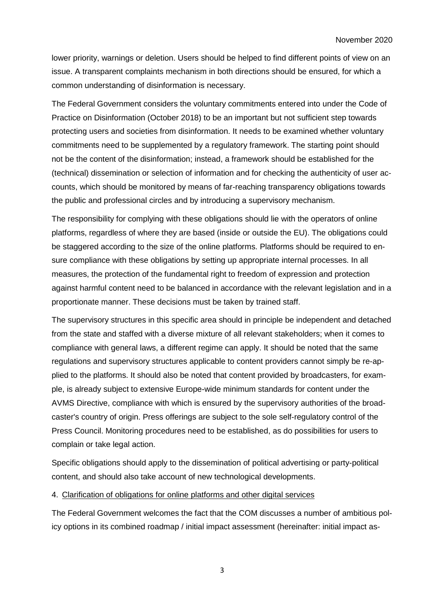lower priority, warnings or deletion. Users should be helped to find different points of view on an issue. A transparent complaints mechanism in both directions should be ensured, for which a common understanding of disinformation is necessary.

The Federal Government considers the voluntary commitments entered into under the Code of Practice on Disinformation (October 2018) to be an important but not sufficient step towards protecting users and societies from disinformation. It needs to be examined whether voluntary commitments need to be supplemented by a regulatory framework. The starting point should not be the content of the disinformation; instead, a framework should be established for the (technical) dissemination or selection of information and for checking the authenticity of user accounts, which should be monitored by means of far-reaching transparency obligations towards the public and professional circles and by introducing a supervisory mechanism.

The responsibility for complying with these obligations should lie with the operators of online platforms, regardless of where they are based (inside or outside the EU). The obligations could be staggered according to the size of the online platforms. Platforms should be required to ensure compliance with these obligations by setting up appropriate internal processes. In all measures, the protection of the fundamental right to freedom of expression and protection against harmful content need to be balanced in accordance with the relevant legislation and in a proportionate manner. These decisions must be taken by trained staff.

The supervisory structures in this specific area should in principle be independent and detached from the state and staffed with a diverse mixture of all relevant stakeholders; when it comes to compliance with general laws, a different regime can apply. It should be noted that the same regulations and supervisory structures applicable to content providers cannot simply be re-applied to the platforms. It should also be noted that content provided by broadcasters, for example, is already subject to extensive Europe-wide minimum standards for content under the AVMS Directive, compliance with which is ensured by the supervisory authorities of the broadcaster's country of origin. Press offerings are subject to the sole self-regulatory control of the Press Council. Monitoring procedures need to be established, as do possibilities for users to complain or take legal action.

Specific obligations should apply to the dissemination of political advertising or party-political content, and should also take account of new technological developments.

#### 4. Clarification of obligations for online platforms and other digital services

The Federal Government welcomes the fact that the COM discusses a number of ambitious policy options in its combined roadmap / initial impact assessment (hereinafter: initial impact as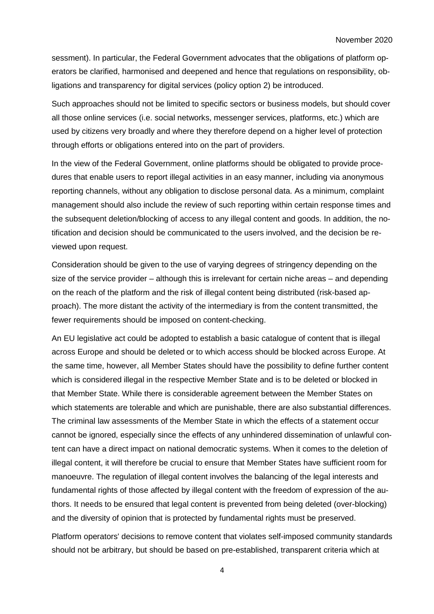sessment). In particular, the Federal Government advocates that the obligations of platform operators be clarified, harmonised and deepened and hence that regulations on responsibility, obligations and transparency for digital services (policy option 2) be introduced.

Such approaches should not be limited to specific sectors or business models, but should cover all those online services (i.e. social networks, messenger services, platforms, etc.) which are used by citizens very broadly and where they therefore depend on a higher level of protection through efforts or obligations entered into on the part of providers.

In the view of the Federal Government, online platforms should be obligated to provide procedures that enable users to report illegal activities in an easy manner, including via anonymous reporting channels, without any obligation to disclose personal data. As a minimum, complaint management should also include the review of such reporting within certain response times and the subsequent deletion/blocking of access to any illegal content and goods. In addition, the notification and decision should be communicated to the users involved, and the decision be reviewed upon request.

Consideration should be given to the use of varying degrees of stringency depending on the size of the service provider – although this is irrelevant for certain niche areas – and depending on the reach of the platform and the risk of illegal content being distributed (risk-based approach). The more distant the activity of the intermediary is from the content transmitted, the fewer requirements should be imposed on content-checking.

An EU legislative act could be adopted to establish a basic catalogue of content that is illegal across Europe and should be deleted or to which access should be blocked across Europe. At the same time, however, all Member States should have the possibility to define further content which is considered illegal in the respective Member State and is to be deleted or blocked in that Member State. While there is considerable agreement between the Member States on which statements are tolerable and which are punishable, there are also substantial differences. The criminal law assessments of the Member State in which the effects of a statement occur cannot be ignored, especially since the effects of any unhindered dissemination of unlawful content can have a direct impact on national democratic systems. When it comes to the deletion of illegal content, it will therefore be crucial to ensure that Member States have sufficient room for manoeuvre. The regulation of illegal content involves the balancing of the legal interests and fundamental rights of those affected by illegal content with the freedom of expression of the authors. It needs to be ensured that legal content is prevented from being deleted (over-blocking) and the diversity of opinion that is protected by fundamental rights must be preserved.

Platform operators' decisions to remove content that violates self-imposed community standards should not be arbitrary, but should be based on pre-established, transparent criteria which at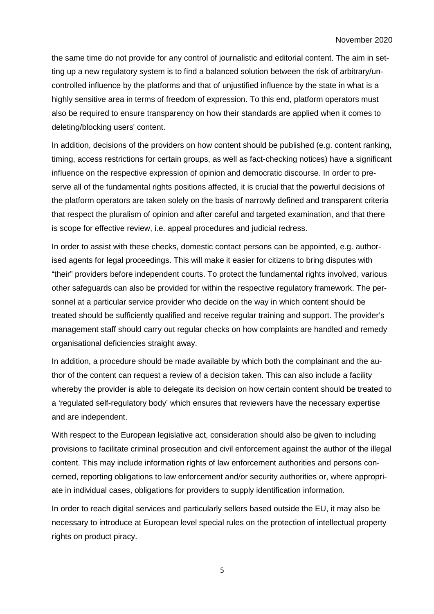the same time do not provide for any control of journalistic and editorial content. The aim in setting up a new regulatory system is to find a balanced solution between the risk of arbitrary/uncontrolled influence by the platforms and that of unjustified influence by the state in what is a highly sensitive area in terms of freedom of expression. To this end, platform operators must also be required to ensure transparency on how their standards are applied when it comes to deleting/blocking users' content.

In addition, decisions of the providers on how content should be published (e.g. content ranking, timing, access restrictions for certain groups, as well as fact-checking notices) have a significant influence on the respective expression of opinion and democratic discourse. In order to preserve all of the fundamental rights positions affected, it is crucial that the powerful decisions of the platform operators are taken solely on the basis of narrowly defined and transparent criteria that respect the pluralism of opinion and after careful and targeted examination, and that there is scope for effective review, i.e. appeal procedures and judicial redress.

In order to assist with these checks, domestic contact persons can be appointed, e.g. authorised agents for legal proceedings. This will make it easier for citizens to bring disputes with "their" providers before independent courts. To protect the fundamental rights involved, various other safeguards can also be provided for within the respective regulatory framework. The personnel at a particular service provider who decide on the way in which content should be treated should be sufficiently qualified and receive regular training and support. The provider's management staff should carry out regular checks on how complaints are handled and remedy organisational deficiencies straight away.

In addition, a procedure should be made available by which both the complainant and the author of the content can request a review of a decision taken. This can also include a facility whereby the provider is able to delegate its decision on how certain content should be treated to a 'regulated self-regulatory body' which ensures that reviewers have the necessary expertise and are independent.

With respect to the European legislative act, consideration should also be given to including provisions to facilitate criminal prosecution and civil enforcement against the author of the illegal content. This may include information rights of law enforcement authorities and persons concerned, reporting obligations to law enforcement and/or security authorities or, where appropriate in individual cases, obligations for providers to supply identification information.

In order to reach digital services and particularly sellers based outside the EU, it may also be necessary to introduce at European level special rules on the protection of intellectual property rights on product piracy.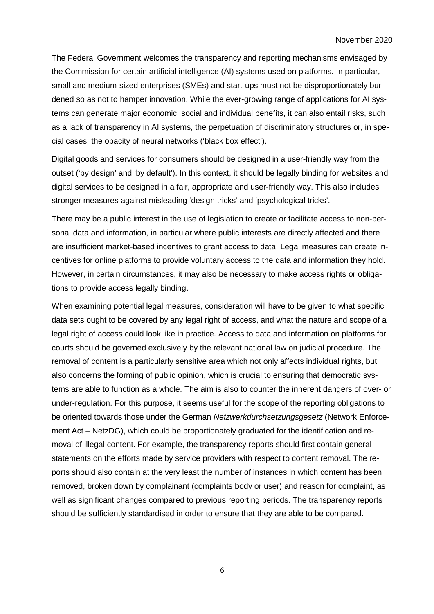The Federal Government welcomes the transparency and reporting mechanisms envisaged by the Commission for certain artificial intelligence (AI) systems used on platforms. In particular, small and medium-sized enterprises (SMEs) and start-ups must not be disproportionately burdened so as not to hamper innovation. While the ever-growing range of applications for AI systems can generate major economic, social and individual benefits, it can also entail risks, such as a lack of transparency in AI systems, the perpetuation of discriminatory structures or, in special cases, the opacity of neural networks ('black box effect').

Digital goods and services for consumers should be designed in a user-friendly way from the outset ('by design' and 'by default'). In this context, it should be legally binding for websites and digital services to be designed in a fair, appropriate and user-friendly way. This also includes stronger measures against misleading 'design tricks' and 'psychological tricks'.

There may be a public interest in the use of legislation to create or facilitate access to non-personal data and information, in particular where public interests are directly affected and there are insufficient market-based incentives to grant access to data. Legal measures can create incentives for online platforms to provide voluntary access to the data and information they hold. However, in certain circumstances, it may also be necessary to make access rights or obligations to provide access legally binding.

When examining potential legal measures, consideration will have to be given to what specific data sets ought to be covered by any legal right of access, and what the nature and scope of a legal right of access could look like in practice. Access to data and information on platforms for courts should be governed exclusively by the relevant national law on judicial procedure. The removal of content is a particularly sensitive area which not only affects individual rights, but also concerns the forming of public opinion, which is crucial to ensuring that democratic systems are able to function as a whole. The aim is also to counter the inherent dangers of over- or under-regulation. For this purpose, it seems useful for the scope of the reporting obligations to be oriented towards those under the German *Netzwerkdurchsetzungsgesetz* (Network Enforcement Act – NetzDG), which could be proportionately graduated for the identification and removal of illegal content. For example, the transparency reports should first contain general statements on the efforts made by service providers with respect to content removal. The reports should also contain at the very least the number of instances in which content has been removed, broken down by complainant (complaints body or user) and reason for complaint, as well as significant changes compared to previous reporting periods. The transparency reports should be sufficiently standardised in order to ensure that they are able to be compared.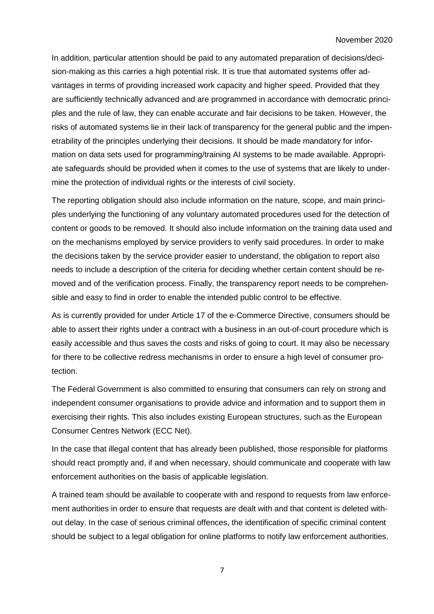In addition, particular attention should be paid to any automated preparation of decisions/decision-making as this carries a high potential risk. It is true that automated systems offer advantages in terms of providing increased work capacity and higher speed. Provided that they are sufficiently technically advanced and are programmed in accordance with democratic principles and the rule of law, they can enable accurate and fair decisions to be taken. However, the risks of automated systems lie in their lack of transparency for the general public and the impenetrability of the principles underlying their decisions. It should be made mandatory for information on data sets used for programming/training AI systems to be made available. Appropriate safeguards should be provided when it comes to the use of systems that are likely to undermine the protection of individual rights or the interests of civil society.

The reporting obligation should also include information on the nature, scope, and main principles underlying the functioning of any voluntary automated procedures used for the detection of content or goods to be removed. It should also include information on the training data used and on the mechanisms employed by service providers to verify said procedures. In order to make the decisions taken by the service provider easier to understand, the obligation to report also needs to include a description of the criteria for deciding whether certain content should be removed and of the verification process. Finally, the transparency report needs to be comprehensible and easy to find in order to enable the intended public control to be effective.

As is currently provided for under Article 17 of the e-Commerce Directive, consumers should be able to assert their rights under a contract with a business in an out-of-court procedure which is easily accessible and thus saves the costs and risks of going to court. It may also be necessary for there to be collective redress mechanisms in order to ensure a high level of consumer protection.

The Federal Government is also committed to ensuring that consumers can rely on strong and independent consumer organisations to provide advice and information and to support them in exercising their rights. This also includes existing European structures, such as the European Consumer Centres Network (ECC Net).

In the case that illegal content that has already been published, those responsible for platforms should react promptly and, if and when necessary, should communicate and cooperate with law enforcement authorities on the basis of applicable legislation.

A trained team should be available to cooperate with and respond to requests from law enforcement authorities in order to ensure that requests are dealt with and that content is deleted without delay. In the case of serious criminal offences, the identification of specific criminal content should be subject to a legal obligation for online platforms to notify law enforcement authorities.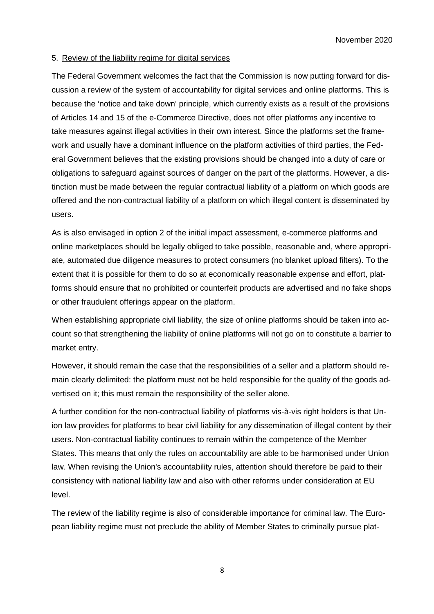## 5. Review of the liability regime for digital services

The Federal Government welcomes the fact that the Commission is now putting forward for discussion a review of the system of accountability for digital services and online platforms. This is because the 'notice and take down' principle, which currently exists as a result of the provisions of Articles 14 and 15 of the e-Commerce Directive, does not offer platforms any incentive to take measures against illegal activities in their own interest. Since the platforms set the framework and usually have a dominant influence on the platform activities of third parties, the Federal Government believes that the existing provisions should be changed into a duty of care or obligations to safeguard against sources of danger on the part of the platforms. However, a distinction must be made between the regular contractual liability of a platform on which goods are offered and the non-contractual liability of a platform on which illegal content is disseminated by users.

As is also envisaged in option 2 of the initial impact assessment, e-commerce platforms and online marketplaces should be legally obliged to take possible, reasonable and, where appropriate, automated due diligence measures to protect consumers (no blanket upload filters). To the extent that it is possible for them to do so at economically reasonable expense and effort, platforms should ensure that no prohibited or counterfeit products are advertised and no fake shops or other fraudulent offerings appear on the platform.

When establishing appropriate civil liability, the size of online platforms should be taken into account so that strengthening the liability of online platforms will not go on to constitute a barrier to market entry.

However, it should remain the case that the responsibilities of a seller and a platform should remain clearly delimited: the platform must not be held responsible for the quality of the goods advertised on it; this must remain the responsibility of the seller alone.

A further condition for the non-contractual liability of platforms vis-à-vis right holders is that Union law provides for platforms to bear civil liability for any dissemination of illegal content by their users. Non-contractual liability continues to remain within the competence of the Member States. This means that only the rules on accountability are able to be harmonised under Union law. When revising the Union's accountability rules, attention should therefore be paid to their consistency with national liability law and also with other reforms under consideration at EU level.

The review of the liability regime is also of considerable importance for criminal law. The European liability regime must not preclude the ability of Member States to criminally pursue plat-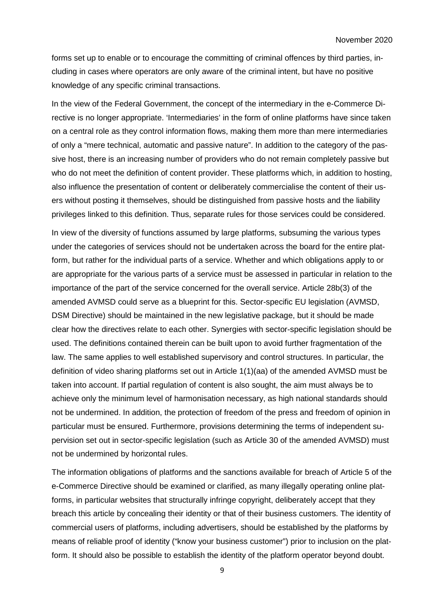forms set up to enable or to encourage the committing of criminal offences by third parties, including in cases where operators are only aware of the criminal intent, but have no positive knowledge of any specific criminal transactions.

In the view of the Federal Government, the concept of the intermediary in the e-Commerce Directive is no longer appropriate. 'Intermediaries' in the form of online platforms have since taken on a central role as they control information flows, making them more than mere intermediaries of only a "mere technical, automatic and passive nature". In addition to the category of the passive host, there is an increasing number of providers who do not remain completely passive but who do not meet the definition of content provider. These platforms which, in addition to hosting, also influence the presentation of content or deliberately commercialise the content of their users without posting it themselves, should be distinguished from passive hosts and the liability privileges linked to this definition. Thus, separate rules for those services could be considered.

In view of the diversity of functions assumed by large platforms, subsuming the various types under the categories of services should not be undertaken across the board for the entire platform, but rather for the individual parts of a service. Whether and which obligations apply to or are appropriate for the various parts of a service must be assessed in particular in relation to the importance of the part of the service concerned for the overall service. Article 28b(3) of the amended AVMSD could serve as a blueprint for this. Sector-specific EU legislation (AVMSD, DSM Directive) should be maintained in the new legislative package, but it should be made clear how the directives relate to each other. Synergies with sector-specific legislation should be used. The definitions contained therein can be built upon to avoid further fragmentation of the law. The same applies to well established supervisory and control structures. In particular, the definition of video sharing platforms set out in Article 1(1)(aa) of the amended AVMSD must be taken into account. If partial regulation of content is also sought, the aim must always be to achieve only the minimum level of harmonisation necessary, as high national standards should not be undermined. In addition, the protection of freedom of the press and freedom of opinion in particular must be ensured. Furthermore, provisions determining the terms of independent supervision set out in sector-specific legislation (such as Article 30 of the amended AVMSD) must not be undermined by horizontal rules.

The information obligations of platforms and the sanctions available for breach of Article 5 of the e-Commerce Directive should be examined or clarified, as many illegally operating online platforms, in particular websites that structurally infringe copyright, deliberately accept that they breach this article by concealing their identity or that of their business customers. The identity of commercial users of platforms, including advertisers, should be established by the platforms by means of reliable proof of identity ("know your business customer") prior to inclusion on the platform. It should also be possible to establish the identity of the platform operator beyond doubt.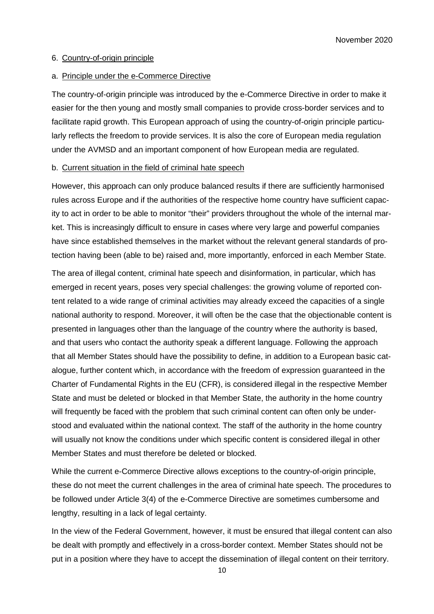## 6. Country-of-origin principle

#### a. Principle under the e-Commerce Directive

The country-of-origin principle was introduced by the e-Commerce Directive in order to make it easier for the then young and mostly small companies to provide cross-border services and to facilitate rapid growth. This European approach of using the country-of-origin principle particularly reflects the freedom to provide services. It is also the core of European media regulation under the AVMSD and an important component of how European media are regulated.

#### b. Current situation in the field of criminal hate speech

However, this approach can only produce balanced results if there are sufficiently harmonised rules across Europe and if the authorities of the respective home country have sufficient capacity to act in order to be able to monitor "their" providers throughout the whole of the internal market. This is increasingly difficult to ensure in cases where very large and powerful companies have since established themselves in the market without the relevant general standards of protection having been (able to be) raised and, more importantly, enforced in each Member State.

The area of illegal content, criminal hate speech and disinformation, in particular, which has emerged in recent years, poses very special challenges: the growing volume of reported content related to a wide range of criminal activities may already exceed the capacities of a single national authority to respond. Moreover, it will often be the case that the objectionable content is presented in languages other than the language of the country where the authority is based, and that users who contact the authority speak a different language. Following the approach that all Member States should have the possibility to define, in addition to a European basic catalogue, further content which, in accordance with the freedom of expression guaranteed in the Charter of Fundamental Rights in the EU (CFR), is considered illegal in the respective Member State and must be deleted or blocked in that Member State, the authority in the home country will frequently be faced with the problem that such criminal content can often only be understood and evaluated within the national context. The staff of the authority in the home country will usually not know the conditions under which specific content is considered illegal in other Member States and must therefore be deleted or blocked.

While the current e-Commerce Directive allows exceptions to the country-of-origin principle, these do not meet the current challenges in the area of criminal hate speech. The procedures to be followed under Article 3(4) of the e-Commerce Directive are sometimes cumbersome and lengthy, resulting in a lack of legal certainty.

In the view of the Federal Government, however, it must be ensured that illegal content can also be dealt with promptly and effectively in a cross-border context. Member States should not be put in a position where they have to accept the dissemination of illegal content on their territory.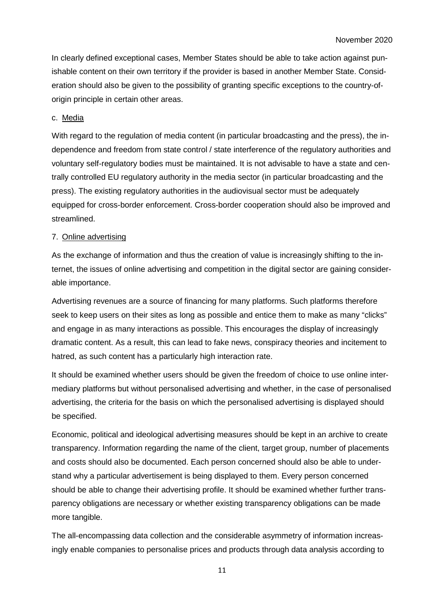In clearly defined exceptional cases, Member States should be able to take action against punishable content on their own territory if the provider is based in another Member State. Consideration should also be given to the possibility of granting specific exceptions to the country-oforigin principle in certain other areas.

#### c. Media

With regard to the regulation of media content (in particular broadcasting and the press), the independence and freedom from state control / state interference of the regulatory authorities and voluntary self-regulatory bodies must be maintained. It is not advisable to have a state and centrally controlled EU regulatory authority in the media sector (in particular broadcasting and the press). The existing regulatory authorities in the audiovisual sector must be adequately equipped for cross-border enforcement. Cross-border cooperation should also be improved and streamlined.

#### 7. Online advertising

As the exchange of information and thus the creation of value is increasingly shifting to the internet, the issues of online advertising and competition in the digital sector are gaining considerable importance.

Advertising revenues are a source of financing for many platforms. Such platforms therefore seek to keep users on their sites as long as possible and entice them to make as many "clicks" and engage in as many interactions as possible. This encourages the display of increasingly dramatic content. As a result, this can lead to fake news, conspiracy theories and incitement to hatred, as such content has a particularly high interaction rate.

It should be examined whether users should be given the freedom of choice to use online intermediary platforms but without personalised advertising and whether, in the case of personalised advertising, the criteria for the basis on which the personalised advertising is displayed should be specified.

Economic, political and ideological advertising measures should be kept in an archive to create transparency. Information regarding the name of the client, target group, number of placements and costs should also be documented. Each person concerned should also be able to understand why a particular advertisement is being displayed to them. Every person concerned should be able to change their advertising profile. It should be examined whether further transparency obligations are necessary or whether existing transparency obligations can be made more tangible.

The all-encompassing data collection and the considerable asymmetry of information increasingly enable companies to personalise prices and products through data analysis according to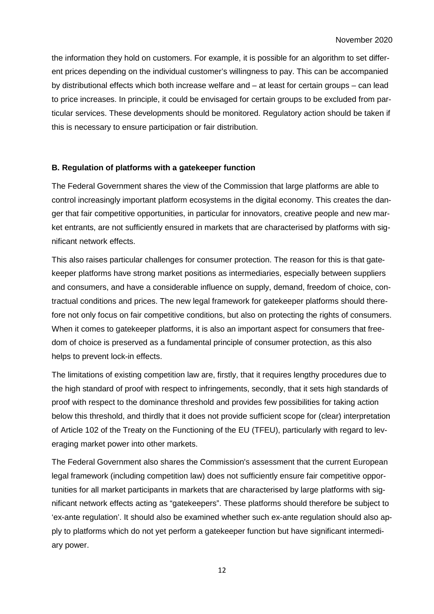the information they hold on customers. For example, it is possible for an algorithm to set different prices depending on the individual customer's willingness to pay. This can be accompanied by distributional effects which both increase welfare and – at least for certain groups – can lead to price increases. In principle, it could be envisaged for certain groups to be excluded from particular services. These developments should be monitored. Regulatory action should be taken if this is necessary to ensure participation or fair distribution.

# **B. Regulation of platforms with a gatekeeper function**

The Federal Government shares the view of the Commission that large platforms are able to control increasingly important platform ecosystems in the digital economy. This creates the danger that fair competitive opportunities, in particular for innovators, creative people and new market entrants, are not sufficiently ensured in markets that are characterised by platforms with significant network effects.

This also raises particular challenges for consumer protection. The reason for this is that gatekeeper platforms have strong market positions as intermediaries, especially between suppliers and consumers, and have a considerable influence on supply, demand, freedom of choice, contractual conditions and prices. The new legal framework for gatekeeper platforms should therefore not only focus on fair competitive conditions, but also on protecting the rights of consumers. When it comes to gatekeeper platforms, it is also an important aspect for consumers that freedom of choice is preserved as a fundamental principle of consumer protection, as this also helps to prevent lock-in effects.

The limitations of existing competition law are, firstly, that it requires lengthy procedures due to the high standard of proof with respect to infringements, secondly, that it sets high standards of proof with respect to the dominance threshold and provides few possibilities for taking action below this threshold, and thirdly that it does not provide sufficient scope for (clear) interpretation of Article 102 of the Treaty on the Functioning of the EU (TFEU), particularly with regard to leveraging market power into other markets.

The Federal Government also shares the Commission's assessment that the current European legal framework (including competition law) does not sufficiently ensure fair competitive opportunities for all market participants in markets that are characterised by large platforms with significant network effects acting as "gatekeepers". These platforms should therefore be subject to 'ex-ante regulation'. It should also be examined whether such ex-ante regulation should also apply to platforms which do not yet perform a gatekeeper function but have significant intermediary power.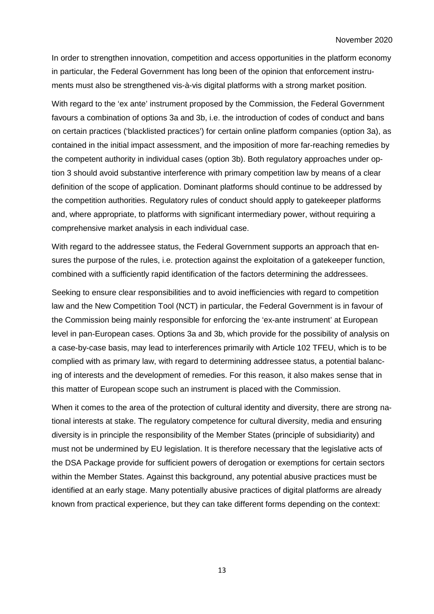In order to strengthen innovation, competition and access opportunities in the platform economy in particular, the Federal Government has long been of the opinion that enforcement instruments must also be strengthened vis-à-vis digital platforms with a strong market position.

With regard to the 'ex ante' instrument proposed by the Commission, the Federal Government favours a combination of options 3a and 3b, i.e. the introduction of codes of conduct and bans on certain practices ('blacklisted practices') for certain online platform companies (option 3a), as contained in the initial impact assessment, and the imposition of more far-reaching remedies by the competent authority in individual cases (option 3b). Both regulatory approaches under option 3 should avoid substantive interference with primary competition law by means of a clear definition of the scope of application. Dominant platforms should continue to be addressed by the competition authorities. Regulatory rules of conduct should apply to gatekeeper platforms and, where appropriate, to platforms with significant intermediary power, without requiring a comprehensive market analysis in each individual case.

With regard to the addressee status, the Federal Government supports an approach that ensures the purpose of the rules, i.e. protection against the exploitation of a gatekeeper function, combined with a sufficiently rapid identification of the factors determining the addressees.

Seeking to ensure clear responsibilities and to avoid inefficiencies with regard to competition law and the New Competition Tool (NCT) in particular, the Federal Government is in favour of the Commission being mainly responsible for enforcing the 'ex-ante instrument' at European level in pan-European cases. Options 3a and 3b, which provide for the possibility of analysis on a case-by-case basis, may lead to interferences primarily with Article 102 TFEU, which is to be complied with as primary law, with regard to determining addressee status, a potential balancing of interests and the development of remedies. For this reason, it also makes sense that in this matter of European scope such an instrument is placed with the Commission.

When it comes to the area of the protection of cultural identity and diversity, there are strong national interests at stake. The regulatory competence for cultural diversity, media and ensuring diversity is in principle the responsibility of the Member States (principle of subsidiarity) and must not be undermined by EU legislation. It is therefore necessary that the legislative acts of the DSA Package provide for sufficient powers of derogation or exemptions for certain sectors within the Member States. Against this background, any potential abusive practices must be identified at an early stage. Many potentially abusive practices of digital platforms are already known from practical experience, but they can take different forms depending on the context: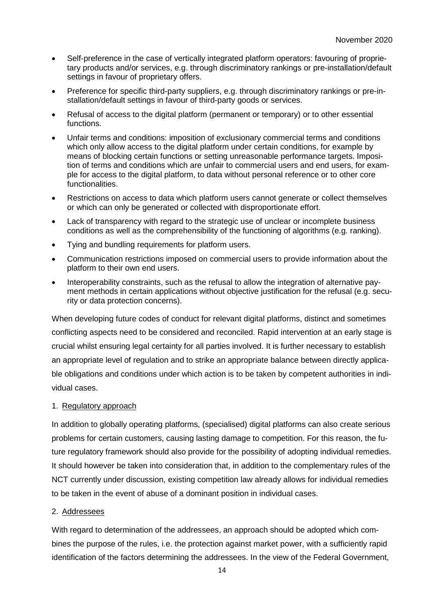- Self-preference in the case of vertically integrated platform operators: favouring of proprietary products and/or services, e.g. through discriminatory rankings or pre-installation/default settings in favour of proprietary offers.
- Preference for specific third-party suppliers, e.g. through discriminatory rankings or pre-installation/default settings in favour of third-party goods or services.
- Refusal of access to the digital platform (permanent or temporary) or to other essential functions.
- Unfair terms and conditions: imposition of exclusionary commercial terms and conditions which only allow access to the digital platform under certain conditions, for example by means of blocking certain functions or setting unreasonable performance targets. Imposition of terms and conditions which are unfair to commercial users and end users, for example for access to the digital platform, to data without personal reference or to other core functionalities.
- Restrictions on access to data which platform users cannot generate or collect themselves or which can only be generated or collected with disproportionate effort.
- Lack of transparency with regard to the strategic use of unclear or incomplete business conditions as well as the comprehensibility of the functioning of algorithms (e.g. ranking).
- Tying and bundling requirements for platform users.
- Communication restrictions imposed on commercial users to provide information about the platform to their own end users.
- Interoperability constraints, such as the refusal to allow the integration of alternative payment methods in certain applications without objective justification for the refusal (e.g. security or data protection concerns).

When developing future codes of conduct for relevant digital platforms, distinct and sometimes conflicting aspects need to be considered and reconciled. Rapid intervention at an early stage is crucial whilst ensuring legal certainty for all parties involved. It is further necessary to establish an appropriate level of regulation and to strike an appropriate balance between directly applicable obligations and conditions under which action is to be taken by competent authorities in individual cases.

## 1. Regulatory approach

In addition to globally operating platforms, (specialised) digital platforms can also create serious problems for certain customers, causing lasting damage to competition. For this reason, the future regulatory framework should also provide for the possibility of adopting individual remedies. It should however be taken into consideration that, in addition to the complementary rules of the NCT currently under discussion, existing competition law already allows for individual remedies to be taken in the event of abuse of a dominant position in individual cases.

## 2. Addressees

With regard to determination of the addressees, an approach should be adopted which combines the purpose of the rules, i.e. the protection against market power, with a sufficiently rapid identification of the factors determining the addressees. In the view of the Federal Government,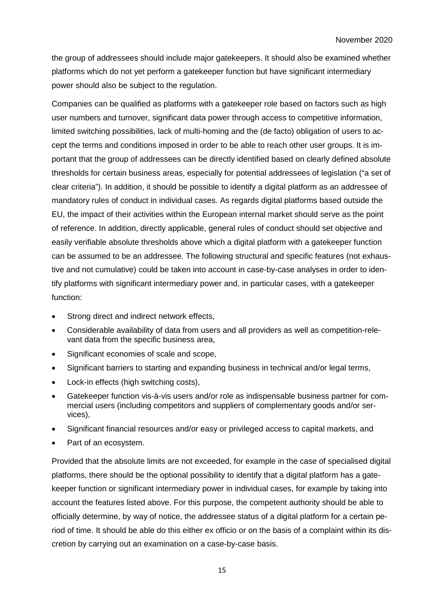the group of addressees should include major gatekeepers. It should also be examined whether platforms which do not yet perform a gatekeeper function but have significant intermediary power should also be subject to the regulation.

Companies can be qualified as platforms with a gatekeeper role based on factors such as high user numbers and turnover, significant data power through access to competitive information, limited switching possibilities, lack of multi-homing and the (de facto) obligation of users to accept the terms and conditions imposed in order to be able to reach other user groups. It is important that the group of addressees can be directly identified based on clearly defined absolute thresholds for certain business areas, especially for potential addressees of legislation ("a set of clear criteria"). In addition, it should be possible to identify a digital platform as an addressee of mandatory rules of conduct in individual cases. As regards digital platforms based outside the EU, the impact of their activities within the European internal market should serve as the point of reference. In addition, directly applicable, general rules of conduct should set objective and easily verifiable absolute thresholds above which a digital platform with a gatekeeper function can be assumed to be an addressee. The following structural and specific features (not exhaustive and not cumulative) could be taken into account in case-by-case analyses in order to identify platforms with significant intermediary power and, in particular cases, with a gatekeeper function:

- Strong direct and indirect network effects,
- Considerable availability of data from users and all providers as well as competition-relevant data from the specific business area,
- Significant economies of scale and scope,
- Significant barriers to starting and expanding business in technical and/or legal terms,
- Lock-in effects (high switching costs),
- Gatekeeper function vis-à-vis users and/or role as indispensable business partner for commercial users (including competitors and suppliers of complementary goods and/or services),
- Significant financial resources and/or easy or privileged access to capital markets, and
- Part of an ecosystem.

Provided that the absolute limits are not exceeded, for example in the case of specialised digital platforms, there should be the optional possibility to identify that a digital platform has a gatekeeper function or significant intermediary power in individual cases, for example by taking into account the features listed above. For this purpose, the competent authority should be able to officially determine, by way of notice, the addressee status of a digital platform for a certain period of time. It should be able do this either ex officio or on the basis of a complaint within its discretion by carrying out an examination on a case-by-case basis.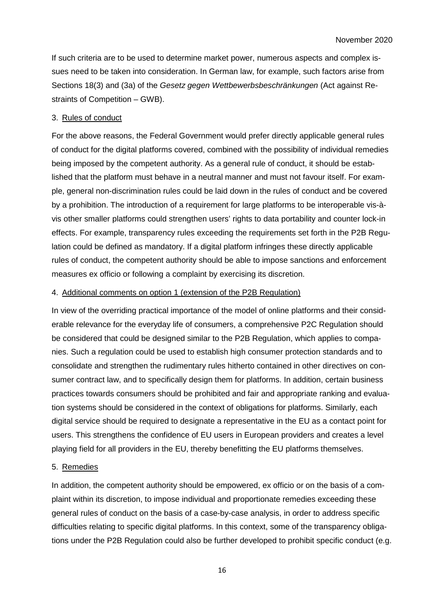If such criteria are to be used to determine market power, numerous aspects and complex issues need to be taken into consideration. In German law, for example, such factors arise from Sections 18(3) and (3a) of the *Gesetz gegen Wettbewerbsbeschränkungen* (Act against Restraints of Competition – GWB).

#### 3. Rules of conduct

For the above reasons, the Federal Government would prefer directly applicable general rules of conduct for the digital platforms covered, combined with the possibility of individual remedies being imposed by the competent authority. As a general rule of conduct, it should be established that the platform must behave in a neutral manner and must not favour itself. For example, general non-discrimination rules could be laid down in the rules of conduct and be covered by a prohibition. The introduction of a requirement for large platforms to be interoperable vis-àvis other smaller platforms could strengthen users' rights to data portability and counter lock-in effects. For example, transparency rules exceeding the requirements set forth in the P2B Regulation could be defined as mandatory. If a digital platform infringes these directly applicable rules of conduct, the competent authority should be able to impose sanctions and enforcement measures ex officio or following a complaint by exercising its discretion.

## 4. Additional comments on option 1 (extension of the P2B Regulation)

In view of the overriding practical importance of the model of online platforms and their considerable relevance for the everyday life of consumers, a comprehensive P2C Regulation should be considered that could be designed similar to the P2B Regulation, which applies to companies. Such a regulation could be used to establish high consumer protection standards and to consolidate and strengthen the rudimentary rules hitherto contained in other directives on consumer contract law, and to specifically design them for platforms. In addition, certain business practices towards consumers should be prohibited and fair and appropriate ranking and evaluation systems should be considered in the context of obligations for platforms. Similarly, each digital service should be required to designate a representative in the EU as a contact point for users. This strengthens the confidence of EU users in European providers and creates a level playing field for all providers in the EU, thereby benefitting the EU platforms themselves.

# 5. Remedies

In addition, the competent authority should be empowered, ex officio or on the basis of a complaint within its discretion, to impose individual and proportionate remedies exceeding these general rules of conduct on the basis of a case-by-case analysis, in order to address specific difficulties relating to specific digital platforms. In this context, some of the transparency obligations under the P2B Regulation could also be further developed to prohibit specific conduct (e.g.